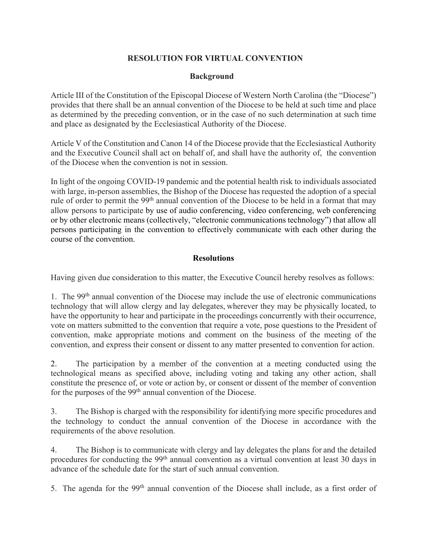## **RESOLUTION FOR VIRTUAL CONVENTION**

## **Background**

Article III of the Constitution of the Episcopal Diocese of Western North Carolina (the "Diocese") provides that there shall be an annual convention of the Diocese to be held at such time and place as determined by the preceding convention, or in the case of no such determination at such time and place as designated by the Ecclesiastical Authority of the Diocese.

Article V of the Constitution and Canon 14 of the Diocese provide that the Ecclesiastical Authority and the Executive Council shall act on behalf of, and shall have the authority of, the convention of the Diocese when the convention is not in session.

In light of the ongoing COVID-19 pandemic and the potential health risk to individuals associated with large, in-person assemblies, the Bishop of the Diocese has requested the adoption of a special rule of order to permit the 99<sup>th</sup> annual convention of the Diocese to be held in a format that may allow persons to participate by use of audio conferencing, video conferencing, web conferencing or by other electronic means (collectively, "electronic communications technology") that allow all persons participating in the convention to effectively communicate with each other during the course of the convention.

## **Resolutions**

Having given due consideration to this matter, the Executive Council hereby resolves as follows:

1. The 99th annual convention of the Diocese may include the use of electronic communications technology that will allow clergy and lay delegates, wherever they may be physically located, to have the opportunity to hear and participate in the proceedings concurrently with their occurrence, vote on matters submitted to the convention that require a vote, pose questions to the President of convention, make appropriate motions and comment on the business of the meeting of the convention, and express their consent or dissent to any matter presented to convention for action.

2. The participation by a member of the convention at a meeting conducted using the technological means as specified above, including voting and taking any other action, shall constitute the presence of, or vote or action by, or consent or dissent of the member of convention for the purposes of the 99<sup>th</sup> annual convention of the Diocese.

3. The Bishop is charged with the responsibility for identifying more specific procedures and the technology to conduct the annual convention of the Diocese in accordance with the requirements of the above resolution.

4. The Bishop is to communicate with clergy and lay delegates the plans for and the detailed procedures for conducting the 99<sup>th</sup> annual convention as a virtual convention at least 30 days in advance of the schedule date for the start of such annual convention.

5. The agenda for the 99<sup>th</sup> annual convention of the Diocese shall include, as a first order of